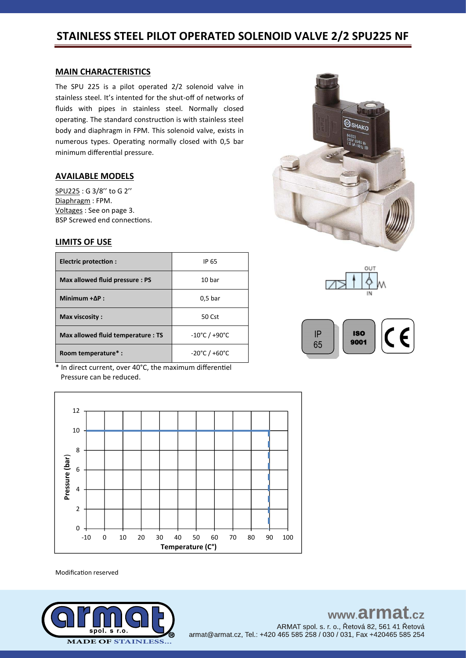### **MAIN CHARACTERISTICS**

The SPU 225 is a pilot operated 2/2 solenoid valve in stainless steel. It's intented for the shut-off of networks of fluids with pipes in stainless steel. Normally closed operating. The standard construction is with stainless steel body and diaphragm in FPM. This solenoid valve, exists in numerous types. Operating normally closed with 0,5 bar minimum differential pressure.

### **AVAILABLE MODELS**

SPU225 : G 3/8'' to G 2'' Diaphragm : FPM. Voltages : See on page 3. BSP Screwed end connections.

### **LIMITS OF USE**

| Electric protection :              | IP 65                              |  |  |  |
|------------------------------------|------------------------------------|--|--|--|
| Max allowed fluid pressure : PS    | 10 bar                             |  |  |  |
| Minimum $+ \Delta P$ :             | 0.5 <sub>bar</sub>                 |  |  |  |
| Max viscosity:                     | 50 Cst                             |  |  |  |
| Max allowed fluid temperature : TS | $-10^{\circ}$ C / +90 $^{\circ}$ C |  |  |  |
| Room temperature*:                 | -20°C / +60°C                      |  |  |  |

\* In direct current, over 40°C, the maximum differentiel Pressure can be reduced.













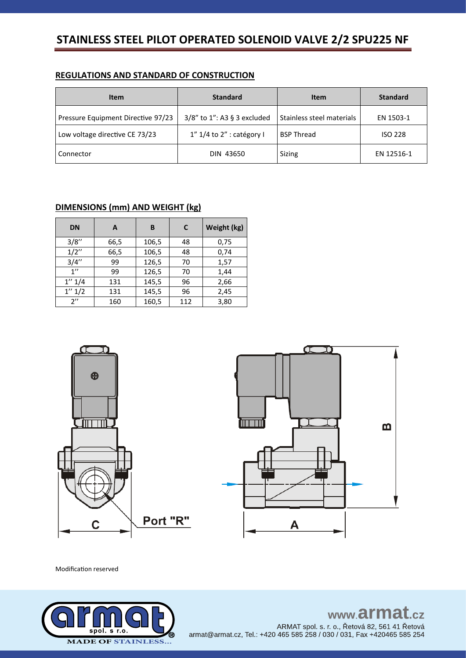# REGULATIONS AND STANDARD OF CONSTRUCTION

| <b>Item</b>                        | <b>Standard</b>             | <b>Item</b>               | <b>Standard</b> |
|------------------------------------|-----------------------------|---------------------------|-----------------|
| Pressure Equipment Directive 97/23 | 3/8" to 1": A3 § 3 excluded | Stainless steel materials | EN 1503-1       |
| Low voltage directive CE 73/23     | 1" 1/4 to 2" : catégory I   | <b>BSP Thread</b>         | <b>ISO 228</b>  |
| Connector                          | DIN 43650                   | Sizing                    | EN 12516-1      |

# **DIMENSIONS (mm) AND WEIGHT (kg)**

| <b>DN</b>          | A    | в     | C   | Weight (kg) |  |
|--------------------|------|-------|-----|-------------|--|
| 3/8''              | 66,5 | 106,5 | 48  | 0,75        |  |
| 1/2''              | 66,5 | 106,5 | 48  | 0,74        |  |
| 3/4''              | 99   | 126,5 | 70  | 1,57        |  |
| 1''                | 99   | 126,5 | 70  | 1,44        |  |
| 1'' 1/4            | 131  |       | 96  | 2,66        |  |
| 1'' 1/2            | 131  |       | 96  | 2,45        |  |
| $2^{\prime\prime}$ | 160  | 160,5 | 112 | 3,80        |  |



Modification reserved



# www.armat.cz ARMAT spol. s. r. o., Řetová 82, 561 41 Řetová armat@armat.cz, Tel.: +420 465 585 258 / 030 / 031, Fax +420465 585 254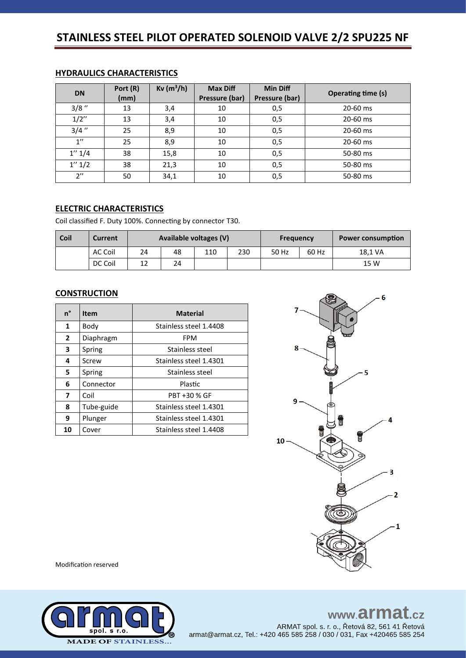| <b>DN</b>          | Port (R)<br>(mm) | $Kv(m^3/h)$ | <b>Max Diff</b><br>Pressure (bar) | <b>Min Diff</b><br>Pressure (bar) | <b>Operating time (s)</b> |
|--------------------|------------------|-------------|-----------------------------------|-----------------------------------|---------------------------|
| $3/8$ "            | 13               | 3,4         | 0,5<br>10                         |                                   | 20-60 ms                  |
| 1/2''              | 13               | 3,4         | 10                                | 0,5                               | 20-60 ms                  |
| $3/4$ "            | 25               | 8,9         | 10                                | 0,5                               | 20-60 ms                  |
| $1^{\prime\prime}$ | 25               | 8,9         | 0,5<br>10                         |                                   | 20-60 ms                  |
| 1'' 1/4            | 38               | 15,8        | 10                                | 0,5                               | 50-80 ms                  |
| 1'' 1/2            | 38               | 21,3        | 10                                | 0,5                               | 50-80 ms                  |
| $2^{\prime\prime}$ | 50               | 34,1        | 10                                | 0,5                               | 50-80 ms                  |

# **HYDRAULICS CHARACTERISTICS**

## **ELECTRIC CHARACTERISTICS**

Coil classified F. Duty 100%. Connecting by connector T30.

| Coil | Current        | Available voltages (V) |    |     | <b>Frequency</b> |       | <b>Power consumption</b> |         |
|------|----------------|------------------------|----|-----|------------------|-------|--------------------------|---------|
|      | <b>AC Coil</b> | 24                     | 48 | 110 | 230              | 50 Hz | 60 Hz                    | 18,1 VA |
|      | DC Coil        | 12                     | 24 |     |                  |       |                          | 15 W    |

## **CONSTRUCTION**

| n°           | <b>Item</b> | <b>Material</b>        |  |  |
|--------------|-------------|------------------------|--|--|
| 1            | Body        | Stainless steel 1.4408 |  |  |
| $\mathbf{2}$ | Diaphragm   | <b>FPM</b>             |  |  |
| 3            | Spring      | Stainless steel        |  |  |
| 4            | Screw       | Stainless steel 1.4301 |  |  |
| 5.           | Spring      | Stainless steel        |  |  |
| 6            | Connector   | Plastic                |  |  |
| 7            | Coil        | PBT +30 % GF           |  |  |
| 8            | Tube-guide  | Stainless steel 1.4301 |  |  |
| 9            | Plunger     | Stainless steel 1.4301 |  |  |
| 10           | Cover       | Stainless steel 1.4408 |  |  |



Modification reserved



# www.armat.cz ARMAT spol. s. r. o., Řetová 82, 561 41 Řetová

armat@armat.cz, Tel.: +420 465 585 258 / 030 / 031, Fax +420465 585 254